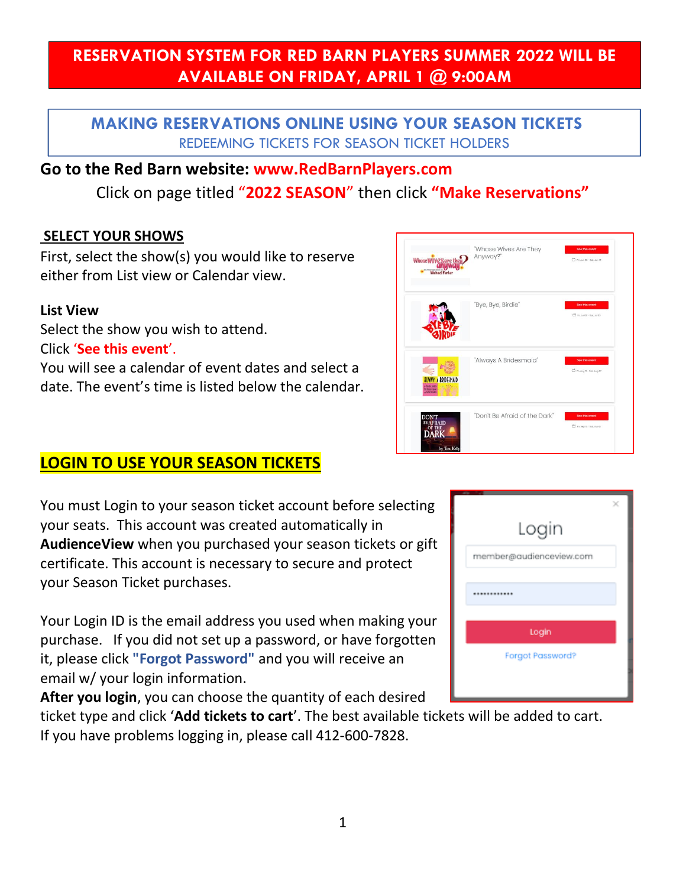# **RESERVATION SYSTEM FOR RED BARN PLAYERS SUMMER 2022 WILL BE AVAILABLE ON FRIDAY, APRIL 1 @ 9:00AM**

## **MAKING RESERVATIONS ONLINE USING YOUR SEASON TICKETS**  REDEEMING TICKETS FOR SEASON TICKET HOLDERS

## **Go to the Red Barn website: www.RedBarnPlayers.com**

Click on page titled "**2022 SEASON**" then click **"Make Reservations"**

### **SELECT YOUR SHOWS**

First, select the show(s) you would like to reserve either from List view or Calendar view.

#### **List View**

Select the show you wish to attend. Click '**See this event**'. You will see a calendar of event dates and select a date. The event's time is listed below the calendar.

## **LOGIN TO USE YOUR SEASON TICKETS**

You must Login to your season ticket account before selecting your seats. This account was created automatically in **AudienceView** when you purchased your season tickets or gift certificate. This account is necessary to secure and protect your Season Ticket purchases.

Your Login ID is the email address you used when making your purchase. If you did not set up a password, or have forgotten it, please click **"Forgot Password"** and you will receive an email w/ your login information.

**After you login**, you can choose the quantity of each desired

ticket type and click '**Add tickets to cart**'. The [best available](https://audienceviewcommunities.force.com/Professional/s/article/Reserved-Seating-FAQ#q20) tickets will be added to cart. If you have problems logging in, please call 412-600-7828.

| Login                   |  |
|-------------------------|--|
| member@audienceview.com |  |
|                         |  |
| Login                   |  |
| Forgot Password?        |  |
|                         |  |

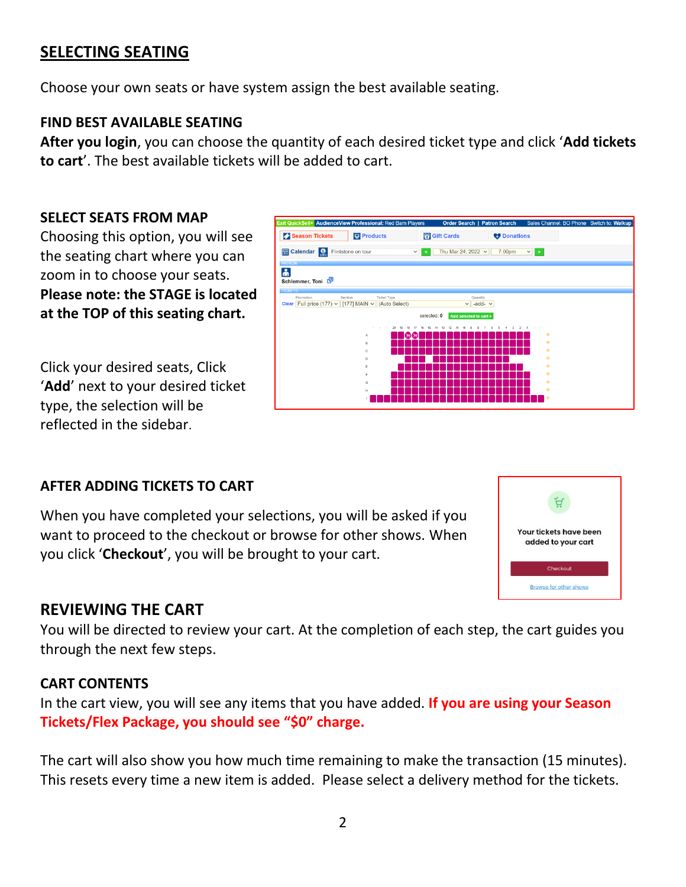# **SELECTING SEATING**

Choose your own seats or have system assign the best available seating.

## **FIND BEST AVAILABLE SEATING**

**After you login**, you can choose the quantity of each desired ticket type and click '**Add tickets to cart**'. The [best available](https://audienceviewcommunities.force.com/Professional/s/article/Reserved-Seating-FAQ#q20) tickets will be added to cart.

#### **SELECT SEATS FROM MAP**

Choosing this option, you will see the seating chart where you can zoom in to choose your seats. **Please note: the STAGE is located at the TOP of this seating chart.**

Click your desired seats, Click '**Add**' next to your desired ticket type, the selection will be reflected in the sidebar.



## **AFTER ADDING TICKETS TO CART**

When you have completed your selections, you will be asked if you want to proceed to the checkout or browse for other shows. When you click '**Checkout**', you will be brought to your cart.



## **REVIEWING THE CART**

You will be directed to review your cart. At the completion of each step, the cart guides you through the next few steps.

#### **CART CONTENTS**

In the cart view, you will see any items that you have added. **If you are using your Season Tickets/Flex Package, you should see "\$0" charge.**

The cart will also show you how much time remaining to make the transaction (15 minutes). This resets every time a new item is added. Please select a delivery method for the tickets.